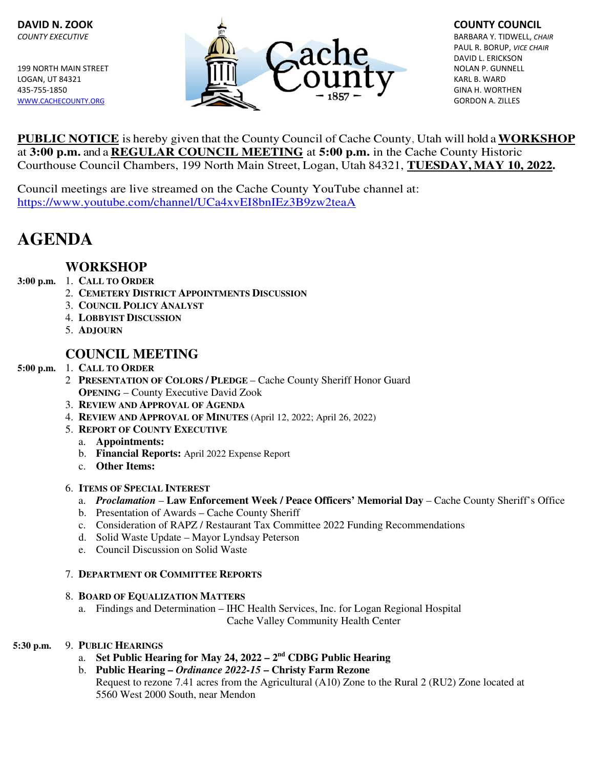

 PAUL R. BORUP, VICE CHAIR DAVID L. ERICKSON

**PUBLIC NOTICE** is hereby given that the County Council of Cache County, Utah will hold a **WORKSHOP**  at **3:00 p.m.** and a **REGULAR COUNCIL MEETING** at **5:00 p.m.** in the Cache County Historic Courthouse Council Chambers, 199 North Main Street, Logan, Utah 84321, **TUESDAY, MAY 10, 2022.** 

Council meetings are live streamed on the Cache County YouTube channel at: https://www.youtube.com/channel/UCa4xvEI8bnIEz3B9zw2teaA

# **AGENDA**

# **WORKSHOP**

# **3:00 p.m.** 1. **CALL TO ORDER**

- 2. **CEMETERY DISTRICT APPOINTMENTS DISCUSSION**
- 3. **COUNCIL POLICY ANALYST**
- 4. **LOBBYIST DISCUSSION**
- 5. **ADJOURN**

# **COUNCIL MEETING**

#### **5:00 p.m.** 1. **CALL TO ORDER**

- 2 **PRESENTATION OF COLORS / PLEDGE**  Cache County Sheriff Honor Guard **OPENING** – County Executive David Zook
- 3. **REVIEW AND APPROVAL OF AGENDA**
- 4. **REVIEW AND APPROVAL OF MINUTES** (April 12, 2022; April 26, 2022)
- 5. **REPORT OF COUNTY EXECUTIVE**
	- a. **Appointments:**
	- b. **Financial Reports:** April 2022 Expense Report
	- c. **Other Items:**
- 6. **ITEMS OF SPECIAL INTEREST**
	- a. *Proclamation* **Law Enforcement Week / Peace Officers' Memorial Day** Cache County Sheriff's Office
	- b. Presentation of Awards Cache County Sheriff
	- c. Consideration of RAPZ / Restaurant Tax Committee 2022 Funding Recommendations
	- d. Solid Waste Update Mayor Lyndsay Peterson
	- e. Council Discussion on Solid Waste

## 7. **DEPARTMENT OR COMMITTEE REPORTS**

#### 8. **BOARD OF EQUALIZATION MATTERS**

 a. Findings and Determination – IHC Health Services, Inc. for Logan Regional Hospital Cache Valley Community Health Center

## **5:30 p.m.** 9. **PUBLIC HEARINGS**

- a. **Set Public Hearing for May 24, 2022 2nd CDBG Public Hearing**
- b. **Public Hearing** *Ordinance 2022-15* **Christy Farm Rezone** Request to rezone 7.41 acres from the Agricultural (A10) Zone to the Rural 2 (RU2) Zone located at 5560 West 2000 South, near Mendon